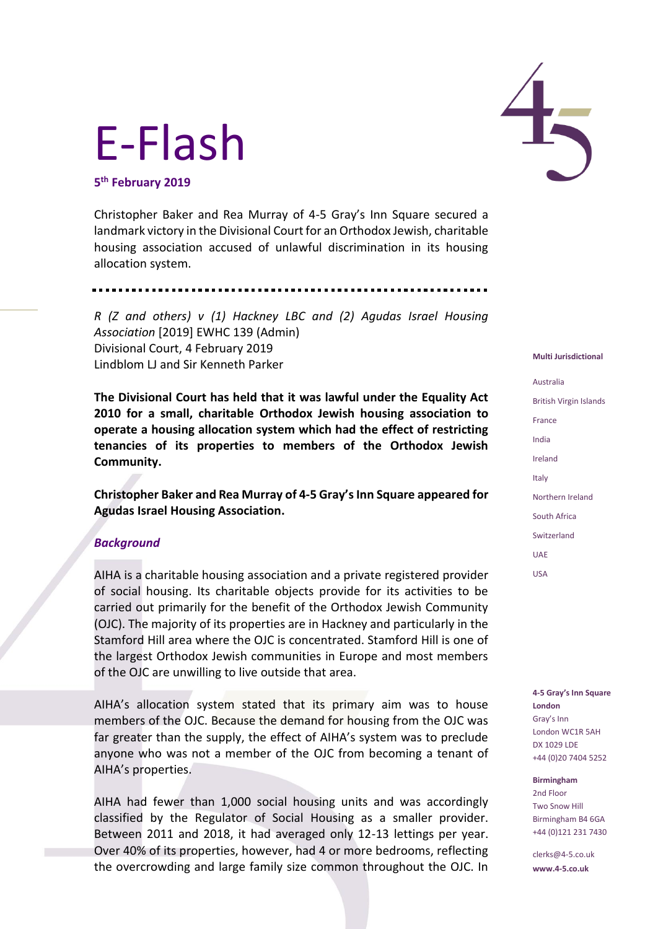# E-Flash

**5 th February 2019**

Christopher Baker and Rea Murray of 4-5 Gray's Inn Square secured a landmark victory in the Divisional Court for an Orthodox Jewish, charitable housing association accused of unlawful discrimination in its housing allocation system.

*R (Z and others) v (1) Hackney LBC and (2) Agudas Israel Housing* 

*Association* [2019] EWHC 139 (Admin) Divisional Court, 4 February 2019 Lindblom LJ and Sir Kenneth Parker

**The Divisional Court has held that it was lawful under the Equality Act 2010 for a small, charitable Orthodox Jewish housing association to operate a housing allocation system which had the effect of restricting tenancies of its properties to members of the Orthodox Jewish Community.**

**Christopher Baker and Rea Murray of 4-5 Gray's Inn Square appeared for Agudas Israel Housing Association.**

## *Background*

AIHA is a charitable housing association and a private registered provider of social housing. Its charitable objects provide for its activities to be carried out primarily for the benefit of the Orthodox Jewish Community (OJC). The majority of its properties are in Hackney and particularly in the Stamford Hill area where the OJC is concentrated. Stamford Hill is one of the largest Orthodox Jewish communities in Europe and most members of the OJC are unwilling to live outside that area.

AIHA's allocation system stated that its primary aim was to house members of the OJC. Because the demand for housing from the OJC was far greater than the supply, the effect of AIHA's system was to preclude anyone who was not a member of the OJC from becoming a tenant of AIHA's properties.

AIHA had fewer than 1,000 social housing units and was accordingly classified by the Regulator of Social Housing as a smaller provider. Between 2011 and 2018, it had averaged only 12-13 lettings per year. Over 40% of its properties, however, had 4 or more bedrooms, reflecting the overcrowding and large family size common throughout the OJC. In



#### **Multi Jurisdictional**

Australia British Virgin Islands France India Ireland Italy Northern Ireland South Africa Switzerland UAE USA

**4-5 Gray's Inn Square London** Gray's Inn London WC1R 5AH DX 1029 LDE +44 (0)20 7404 5252

**Birmingham** 2nd Floor Two Snow Hill Birmingham B4 6GA +44 (0)121 231 7430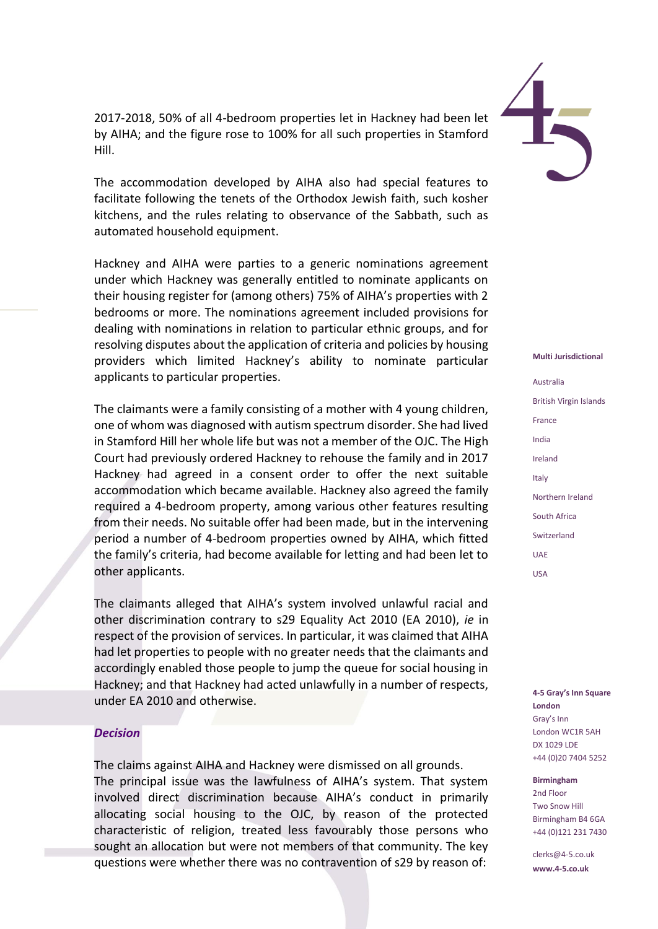2017-2018, 50% of all 4-bedroom properties let in Hackney had been let by AIHA; and the figure rose to 100% for all such properties in Stamford Hill.

The accommodation developed by AIHA also had special features to facilitate following the tenets of the Orthodox Jewish faith, such kosher kitchens, and the rules relating to observance of the Sabbath, such as automated household equipment.

Hackney and AIHA were parties to a generic nominations agreement under which Hackney was generally entitled to nominate applicants on their housing register for (among others) 75% of AIHA's properties with 2 bedrooms or more. The nominations agreement included provisions for dealing with nominations in relation to particular ethnic groups, and for resolving disputes about the application of criteria and policies by housing providers which limited Hackney's ability to nominate particular applicants to particular properties.

The claimants were a family consisting of a mother with 4 young children, one of whom was diagnosed with autism spectrum disorder. She had lived in Stamford Hill her whole life but was not a member of the OJC. The High Court had previously ordered Hackney to rehouse the family and in 2017 Hackney had agreed in a consent order to offer the next suitable accommodation which became available. Hackney also agreed the family required a 4-bedroom property, among various other features resulting from their needs. No suitable offer had been made, but in the intervening period a number of 4-bedroom properties owned by AIHA, which fitted the family's criteria, had become available for letting and had been let to other applicants.

The claimants alleged that AIHA's system involved unlawful racial and other discrimination contrary to s29 Equality Act 2010 (EA 2010), *ie* in respect of the provision of services. In particular, it was claimed that AIHA had let properties to people with no greater needs that the claimants and accordingly enabled those people to jump the queue for social housing in Hackney; and that Hackney had acted unlawfully in a number of respects, under EA 2010 and otherwise.

### *Decision*

The claims against AIHA and Hackney were dismissed on all grounds. The principal issue was the lawfulness of AIHA's system. That system involved direct discrimination because AIHA's conduct in primarily allocating social housing to the OJC, by reason of the protected characteristic of religion, treated less favourably those persons who sought an allocation but were not members of that community. The key questions were whether there was no contravention of s29 by reason of:



#### **Multi Jurisdictional**

Australia British Virgin Islands France India Ireland Italy Northern Ireland South Africa Switzerland UAE USA

**4-5 Gray's Inn Square London** Gray's Inn London WC1R 5AH DX 1029 LDE +44 (0)20 7404 5252

#### **Birmingham**

2nd Floor Two Snow Hill Birmingham B4 6GA +44 (0)121 231 7430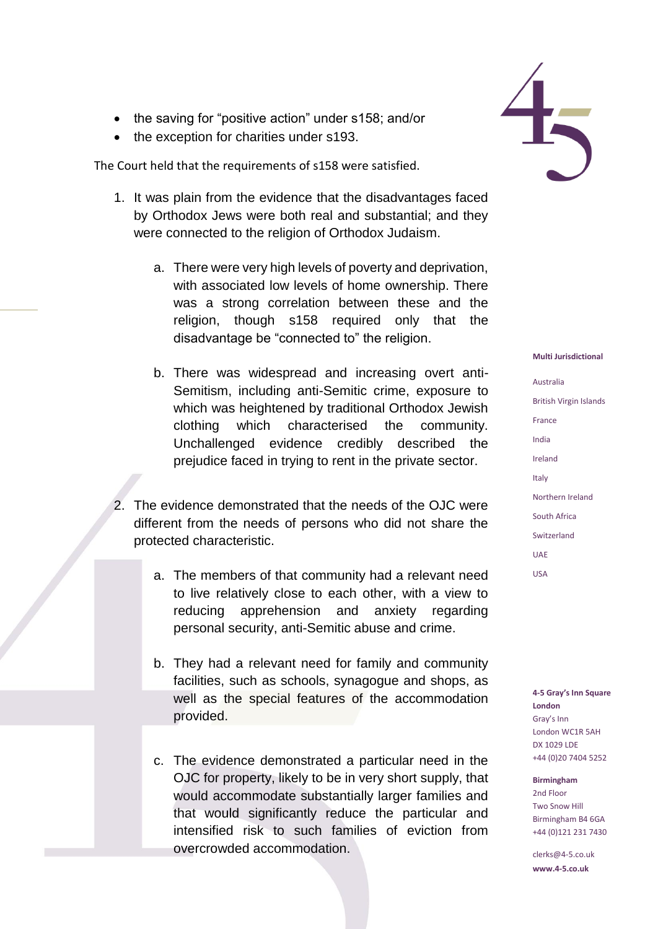- the saving for "positive action" under s158; and/or
- the exception for charities under s193.

The Court held that the requirements of s158 were satisfied.

- 1. It was plain from the evidence that the disadvantages faced by Orthodox Jews were both real and substantial; and they were connected to the religion of Orthodox Judaism.
	- a. There were very high levels of poverty and deprivation, with associated low levels of home ownership. There was a strong correlation between these and the religion, though s158 required only that the disadvantage be "connected to" the religion.
	- b. There was widespread and increasing overt anti-Semitism, including anti-Semitic crime, exposure to which was heightened by traditional Orthodox Jewish clothing which characterised the community. Unchallenged evidence credibly described the prejudice faced in trying to rent in the private sector.
- 2. The evidence demonstrated that the needs of the OJC were different from the needs of persons who did not share the protected characteristic.
	- a. The members of that community had a relevant need to live relatively close to each other, with a view to reducing apprehension and anxiety regarding personal security, anti-Semitic abuse and crime.
	- b. They had a relevant need for family and community facilities, such as schools, synagogue and shops, as well as the special features of the accommodation provided.
	- c. The evidence demonstrated a particular need in the OJC for property, likely to be in very short supply, that would accommodate substantially larger families and that would significantly reduce the particular and intensified risk to such families of eviction from overcrowded accommodation.



#### **Multi Jurisdictional**

Australia British Virgin Islands France India Ireland Italy Northern Ireland South Africa Switzerland UAE USA

**4-5 Gray's Inn Square London** Gray's Inn London WC1R 5AH DX 1029 LDE +44 (0)20 7404 5252

**Birmingham**

2nd Floor Two Snow Hill Birmingham B4 6GA +44 (0)121 231 7430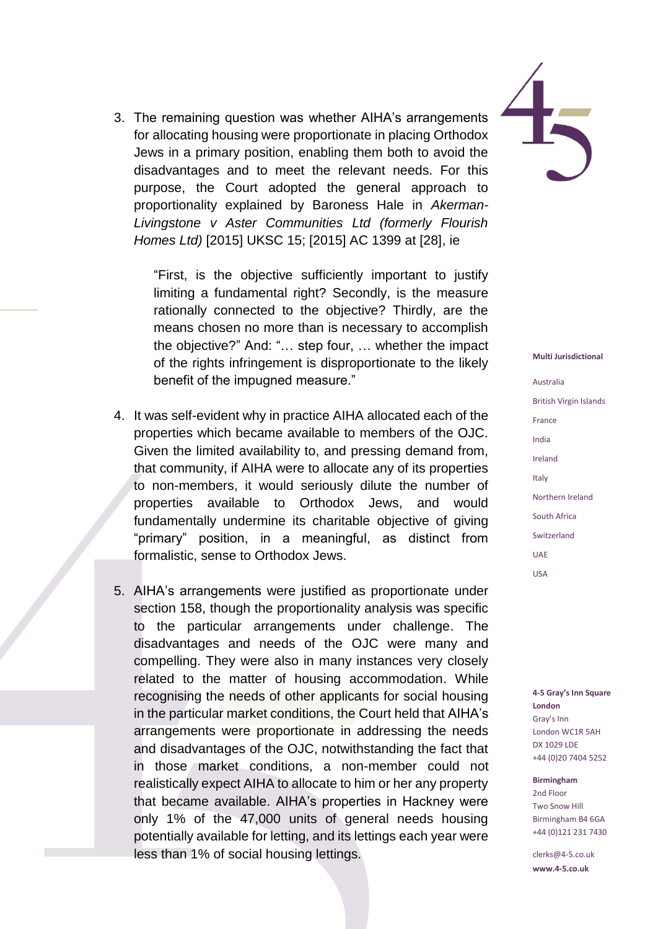3. The remaining question was whether AIHA's arrangements for allocating housing were proportionate in placing Orthodox Jews in a primary position, enabling them both to avoid the disadvantages and to meet the relevant needs. For this purpose, the Court adopted the general approach to proportionality explained by Baroness Hale in *Akerman-Livingstone v Aster Communities Ltd (formerly Flourish Homes Ltd)* [2015] UKSC 15; [2015] AC 1399 at [28], ie

> "First, is the objective sufficiently important to justify limiting a fundamental right? Secondly, is the measure rationally connected to the objective? Thirdly, are the means chosen no more than is necessary to accomplish the objective?" And: "… step four, … whether the impact of the rights infringement is disproportionate to the likely benefit of the impugned measure."

- 4. It was self-evident why in practice AIHA allocated each of the properties which became available to members of the OJC. Given the limited availability to, and pressing demand from, that community, if AIHA were to allocate any of its properties to non-members, it would seriously dilute the number of properties available to Orthodox Jews, and would fundamentally undermine its charitable objective of giving "primary" position, in a meaningful, as distinct from formalistic, sense to Orthodox Jews.
- 5. AIHA's arrangements were justified as proportionate under section 158, though the proportionality analysis was specific to the particular arrangements under challenge. The disadvantages and needs of the OJC were many and compelling. They were also in many instances very closely related to the matter of housing accommodation. While recognising the needs of other applicants for social housing in the particular market conditions, the Court held that AIHA's arrangements were proportionate in addressing the needs and disadvantages of the OJC, notwithstanding the fact that in those market conditions, a non-member could not realistically expect AIHA to allocate to him or her any property that became available. AIHA's properties in Hackney were only 1% of the 47,000 units of general needs housing potentially available for letting, and its lettings each year were less than 1% of social housing lettings.



#### **Multi Jurisdictional**

Australia British Virgin Islands France India Ireland Italy Northern Ireland South Africa Switzerland UAE USA

**4-5 Gray's Inn Square London** Gray's Inn London WC1R 5AH DX 1029 LDE +44 (0)20 7404 5252

**Birmingham** 2nd Floor Two Snow Hill Birmingham B4 6GA +44 (0)121 231 7430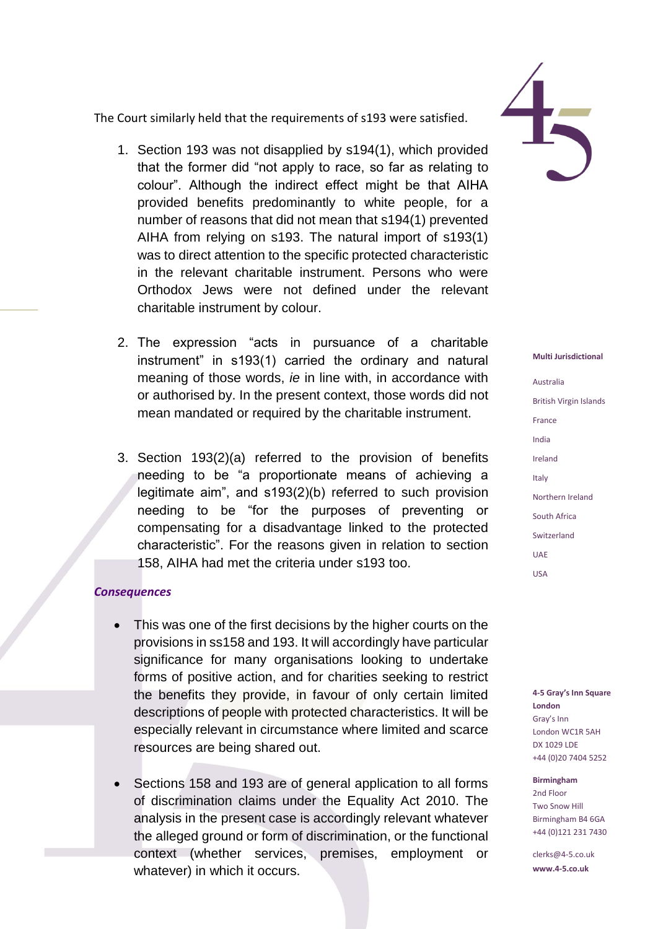The Court similarly held that the requirements of s193 were satisfied.

- 1. Section 193 was not disapplied by s194(1), which provided that the former did "not apply to race, so far as relating to colour". Although the indirect effect might be that AIHA provided benefits predominantly to white people, for a number of reasons that did not mean that s194(1) prevented AIHA from relying on s193. The natural import of s193(1) was to direct attention to the specific protected characteristic in the relevant charitable instrument. Persons who were Orthodox Jews were not defined under the relevant charitable instrument by colour.
- 2. The expression "acts in pursuance of a charitable instrument" in s193(1) carried the ordinary and natural meaning of those words, *ie* in line with, in accordance with or authorised by. In the present context, those words did not mean mandated or required by the charitable instrument.
- 3. Section 193(2)(a) referred to the provision of benefits needing to be "a proportionate means of achieving a legitimate aim", and s193(2)(b) referred to such provision needing to be "for the purposes of preventing or compensating for a disadvantage linked to the protected characteristic". For the reasons given in relation to section 158, AIHA had met the criteria under s193 too.

## *Consequences*

- This was one of the first decisions by the higher courts on the provisions in ss158 and 193. It will accordingly have particular significance for many organisations looking to undertake forms of positive action, and for charities seeking to restrict the benefits they provide, in favour of only certain limited descriptions of people with protected characteristics. It will be especially relevant in circumstance where limited and scarce resources are being shared out.
- Sections 158 and 193 are of general application to all forms of discrimination claims under the Equality Act 2010. The analysis in the present case is accordingly relevant whatever the alleged ground or form of discrimination, or the functional context (whether services, premises, employment or whatever) in which it occurs.



#### **Multi Jurisdictional**

Australia British Virgin Islands France India Ireland Italy Northern Ireland South Africa Switzerland UAE USA

**4-5 Gray's Inn Square London** Gray's Inn London WC1R 5AH DX 1029 LDE +44 (0)20 7404 5252

**Birmingham** 2nd Floor Two Snow Hill Birmingham B4 6GA +44 (0)121 231 7430